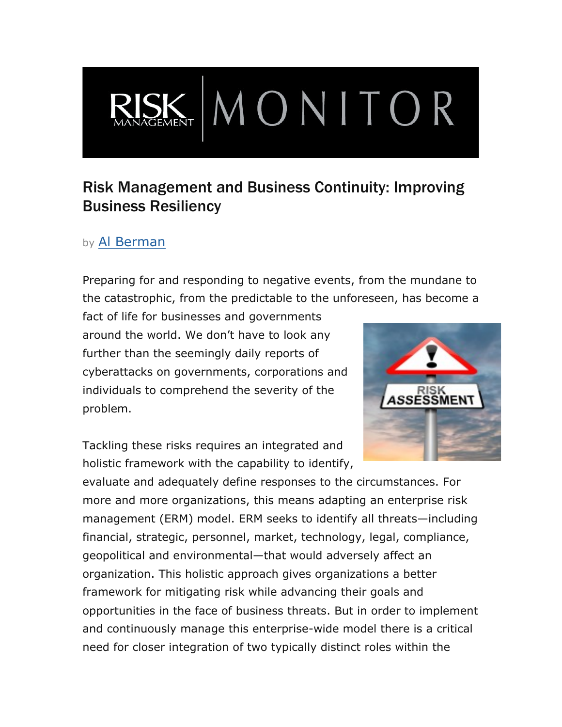## Risk Management and Business Continuity: Improving Business Resiliency

 $\mathbf{K}\mathbf{MON}$  TOR

## by Al Berman

Preparing for and responding to negative events, from the mundane to the catastrophic, from the predictable to the unforeseen, has become a

fact of life for businesses and governments around the world. We don't have to look any further than the seemingly daily reports of cyberattacks on governments, corporations and individuals to comprehend the severity of the problem.

Tackling these risks requires an integrated and holistic framework with the capability to identify,



evaluate and adequately define responses to the circumstances. For more and more organizations, this means adapting an enterprise risk management (ERM) model. ERM seeks to identify all threats—including financial, strategic, personnel, market, technology, legal, compliance, geopolitical and environmental—that would adversely affect an organization. This holistic approach gives organizations a better framework for mitigating risk while advancing their goals and opportunities in the face of business threats. But in order to implement and continuously manage this enterprise-wide model there is a critical need for closer integration of two typically distinct roles within the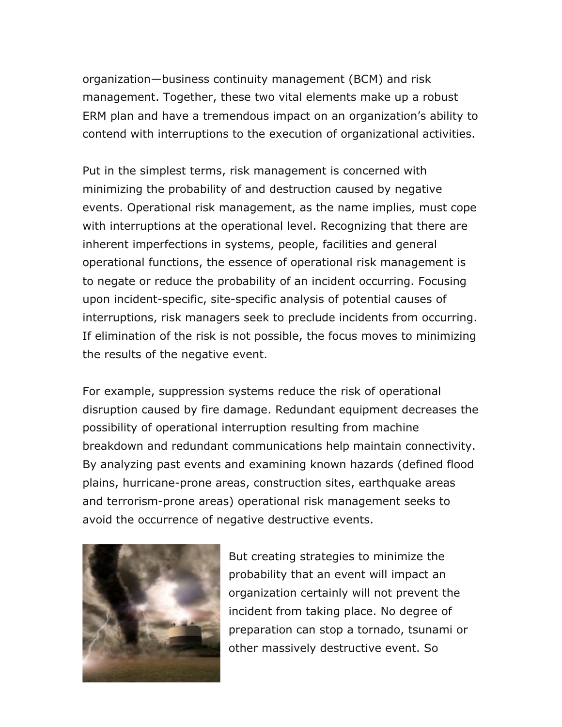organization—business continuity management (BCM) and risk management. Together, these two vital elements make up a robust ERM plan and have a tremendous impact on an organization's ability to contend with interruptions to the execution of organizational activities.

Put in the simplest terms, risk management is concerned with minimizing the probability of and destruction caused by negative events. Operational risk management, as the name implies, must cope with interruptions at the operational level. Recognizing that there are inherent imperfections in systems, people, facilities and general operational functions, the essence of operational risk management is to negate or reduce the probability of an incident occurring. Focusing upon incident-specific, site-specific analysis of potential causes of interruptions, risk managers seek to preclude incidents from occurring. If elimination of the risk is not possible, the focus moves to minimizing the results of the negative event.

For example, suppression systems reduce the risk of operational disruption caused by fire damage. Redundant equipment decreases the possibility of operational interruption resulting from machine breakdown and redundant communications help maintain connectivity. By analyzing past events and examining known hazards (defined flood plains, hurricane-prone areas, construction sites, earthquake areas and terrorism-prone areas) operational risk management seeks to avoid the occurrence of negative destructive events.



But creating strategies to minimize the probability that an event will impact an organization certainly will not prevent the incident from taking place. No degree of preparation can stop a tornado, tsunami or other massively destructive event. So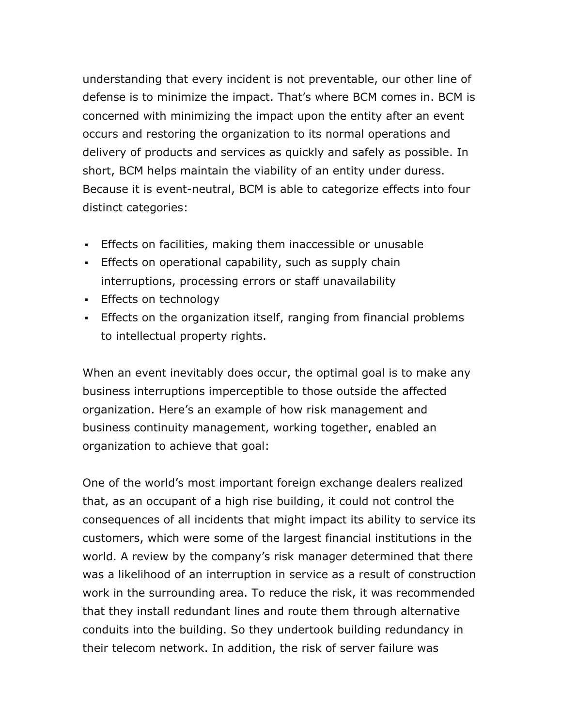understanding that every incident is not preventable, our other line of defense is to minimize the impact. That's where BCM comes in. BCM is concerned with minimizing the impact upon the entity after an event occurs and restoring the organization to its normal operations and delivery of products and services as quickly and safely as possible. In short, BCM helps maintain the viability of an entity under duress. Because it is event-neutral, BCM is able to categorize effects into four distinct categories:

- ! Effects on facilities, making them inaccessible or unusable
- . Effects on operational capability, such as supply chain interruptions, processing errors or staff unavailability
- **Effects on technology**
- ! Effects on the organization itself, ranging from financial problems to intellectual property rights.

When an event inevitably does occur, the optimal goal is to make any business interruptions imperceptible to those outside the affected organization. Here's an example of how risk management and business continuity management, working together, enabled an organization to achieve that goal:

One of the world's most important foreign exchange dealers realized that, as an occupant of a high rise building, it could not control the consequences of all incidents that might impact its ability to service its customers, which were some of the largest financial institutions in the world. A review by the company's risk manager determined that there was a likelihood of an interruption in service as a result of construction work in the surrounding area. To reduce the risk, it was recommended that they install redundant lines and route them through alternative conduits into the building. So they undertook building redundancy in their telecom network. In addition, the risk of server failure was